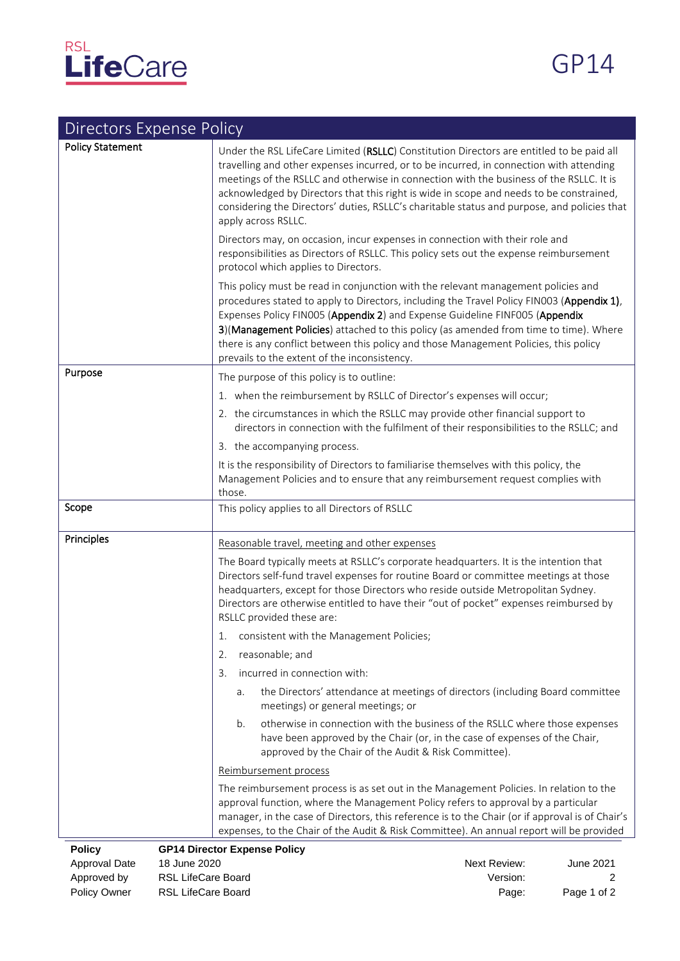

| <b>Directors Expense Policy</b> |                                                                                                                                                                                                                                                                                                                                                                                                                                                                                                  |
|---------------------------------|--------------------------------------------------------------------------------------------------------------------------------------------------------------------------------------------------------------------------------------------------------------------------------------------------------------------------------------------------------------------------------------------------------------------------------------------------------------------------------------------------|
| <b>Policy Statement</b>         | Under the RSL LifeCare Limited (RSLLC) Constitution Directors are entitled to be paid all<br>travelling and other expenses incurred, or to be incurred, in connection with attending<br>meetings of the RSLLC and otherwise in connection with the business of the RSLLC. It is<br>acknowledged by Directors that this right is wide in scope and needs to be constrained,<br>considering the Directors' duties, RSLLC's charitable status and purpose, and policies that<br>apply across RSLLC. |
|                                 | Directors may, on occasion, incur expenses in connection with their role and<br>responsibilities as Directors of RSLLC. This policy sets out the expense reimbursement<br>protocol which applies to Directors.                                                                                                                                                                                                                                                                                   |
|                                 | This policy must be read in conjunction with the relevant management policies and<br>procedures stated to apply to Directors, including the Travel Policy FIN003 (Appendix 1),<br>Expenses Policy FIN005 (Appendix 2) and Expense Guideline FINF005 (Appendix<br>3)(Management Policies) attached to this policy (as amended from time to time). Where<br>there is any conflict between this policy and those Management Policies, this policy<br>prevails to the extent of the inconsistency.   |
| Purpose                         | The purpose of this policy is to outline:                                                                                                                                                                                                                                                                                                                                                                                                                                                        |
|                                 | 1. when the reimbursement by RSLLC of Director's expenses will occur;                                                                                                                                                                                                                                                                                                                                                                                                                            |
|                                 | 2. the circumstances in which the RSLLC may provide other financial support to<br>directors in connection with the fulfilment of their responsibilities to the RSLLC; and                                                                                                                                                                                                                                                                                                                        |
|                                 | 3. the accompanying process.                                                                                                                                                                                                                                                                                                                                                                                                                                                                     |
|                                 | It is the responsibility of Directors to familiarise themselves with this policy, the<br>Management Policies and to ensure that any reimbursement request complies with<br>those.                                                                                                                                                                                                                                                                                                                |
| Scope                           | This policy applies to all Directors of RSLLC                                                                                                                                                                                                                                                                                                                                                                                                                                                    |
| Principles                      | Reasonable travel, meeting and other expenses                                                                                                                                                                                                                                                                                                                                                                                                                                                    |
|                                 | The Board typically meets at RSLLC's corporate headquarters. It is the intention that<br>Directors self-fund travel expenses for routine Board or committee meetings at those<br>headquarters, except for those Directors who reside outside Metropolitan Sydney.<br>Directors are otherwise entitled to have their "out of pocket" expenses reimbursed by<br>RSLLC provided these are:                                                                                                          |
|                                 | consistent with the Management Policies;<br>1.                                                                                                                                                                                                                                                                                                                                                                                                                                                   |
|                                 | reasonable; and<br>2.                                                                                                                                                                                                                                                                                                                                                                                                                                                                            |
|                                 | incurred in connection with:<br>3.                                                                                                                                                                                                                                                                                                                                                                                                                                                               |
|                                 | the Directors' attendance at meetings of directors (including Board committee<br>a.<br>meetings) or general meetings; or                                                                                                                                                                                                                                                                                                                                                                         |
|                                 | otherwise in connection with the business of the RSLLC where those expenses<br>b.<br>have been approved by the Chair (or, in the case of expenses of the Chair,<br>approved by the Chair of the Audit & Risk Committee).                                                                                                                                                                                                                                                                         |
|                                 | Reimbursement process                                                                                                                                                                                                                                                                                                                                                                                                                                                                            |
|                                 | The reimbursement process is as set out in the Management Policies. In relation to the<br>approval function, where the Management Policy refers to approval by a particular<br>manager, in the case of Directors, this reference is to the Chair (or if approval is of Chair's<br>expenses, to the Chair of the Audit & Risk Committee). An annual report will be provided                                                                                                                       |

**Policy GP14 Director Expense Policy** 

Approval Date 18 June 2020 20 20 20 20 20 20 20 20 20 21 20 21 20 21 20 21 20 21 20 21 20 21 20 21 20 21 20 21 Approved by RSL LifeCare Board **All and Struck and Approved by RSL** LifeCare Board Policy Owner RSL LifeCare Board **Page:** Page: Page 1 of 2